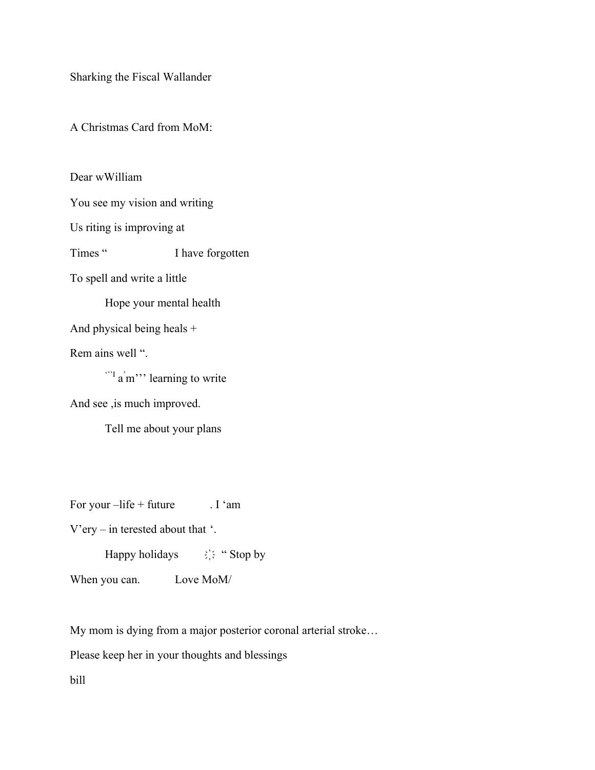Sharking the Fiscal Wallander

A Christmas Card from MoM:

Dear wWilliam

You see my vision and writing

Us riting is improving at

Times " I have forgotten

To spell and write a little

Hope your mental health

And physical being heals +

Rem ains well ".

 $\cdots$ <sup>I</sup> a<sup>'</sup>m''' learning to write

And see ,is much improved.

Tell me about your plans

For your  $-$ life + future . I 'am

V'ery – in terested about that '.

Happy holidays  $\frac{1}{2}$   $\frac{1}{2}$  " Stop by

When you can. Love MoM/

My mom is dying from a major posterior coronal arterial stroke…

Please keep her in your thoughts and blessings

bill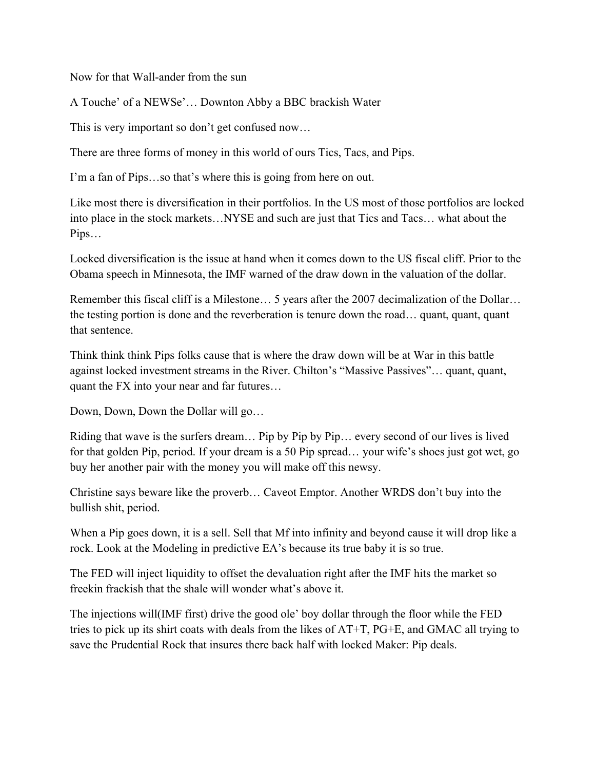Now for that Wall-ander from the sun

A Touche' of a NEWSe'… Downton Abby a BBC brackish Water

This is very important so don't get confused now…

There are three forms of money in this world of ours Tics, Tacs, and Pips.

I'm a fan of Pips…so that's where this is going from here on out.

Like most there is diversification in their portfolios. In the US most of those portfolios are locked into place in the stock markets…NYSE and such are just that Tics and Tacs… what about the Pips…

Locked diversification is the issue at hand when it comes down to the US fiscal cliff. Prior to the Obama speech in Minnesota, the IMF warned of the draw down in the valuation of the dollar.

Remember this fiscal cliff is a Milestone… 5 years after the 2007 decimalization of the Dollar… the testing portion is done and the reverberation is tenure down the road… quant, quant, quant that sentence.

Think think think Pips folks cause that is where the draw down will be at War in this battle against locked investment streams in the River. Chilton's "Massive Passives"… quant, quant, quant the FX into your near and far futures…

Down, Down, Down the Dollar will go…

Riding that wave is the surfers dream... Pip by Pip by Pip... every second of our lives is lived for that golden Pip, period. If your dream is a 50 Pip spread… your wife's shoes just got wet, go buy her another pair with the money you will make off this newsy.

Christine says beware like the proverb… Caveot Emptor. Another WRDS don't buy into the bullish shit, period.

When a Pip goes down, it is a sell. Sell that Mf into infinity and beyond cause it will drop like a rock. Look at the Modeling in predictive EA's because its true baby it is so true.

The FED will inject liquidity to offset the devaluation right after the IMF hits the market so freekin frackish that the shale will wonder what's above it.

The injections will(IMF first) drive the good ole' boy dollar through the floor while the FED tries to pick up its shirt coats with deals from the likes of AT+T, PG+E, and GMAC all trying to save the Prudential Rock that insures there back half with locked Maker: Pip deals.